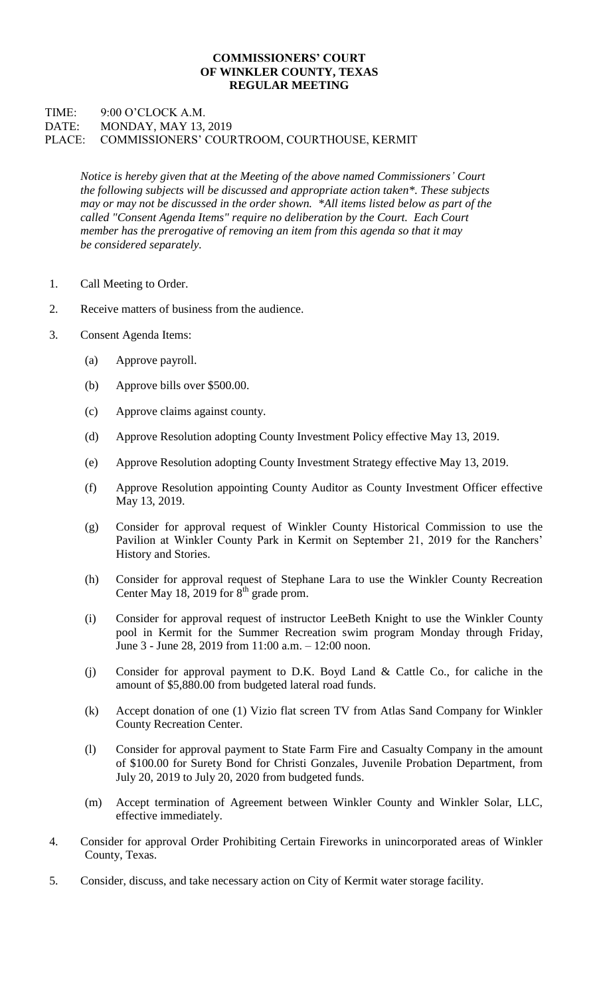## **COMMISSIONERS' COURT OF WINKLER COUNTY, TEXAS REGULAR MEETING**

## TIME: 9:00 O'CLOCK A.M. DATE: MONDAY, MAY 13, 2019 PLACE: COMMISSIONERS' COURTROOM, COURTHOUSE, KERMIT

*Notice is hereby given that at the Meeting of the above named Commissioners' Court the following subjects will be discussed and appropriate action taken\*. These subjects may or may not be discussed in the order shown. \*All items listed below as part of the called "Consent Agenda Items" require no deliberation by the Court. Each Court member has the prerogative of removing an item from this agenda so that it may be considered separately.*

- 1. Call Meeting to Order.
- 2. Receive matters of business from the audience.
- 3. Consent Agenda Items:
	- (a) Approve payroll.
	- (b) Approve bills over \$500.00.
	- (c) Approve claims against county.
	- (d) Approve Resolution adopting County Investment Policy effective May 13, 2019.
	- (e) Approve Resolution adopting County Investment Strategy effective May 13, 2019.
	- (f) Approve Resolution appointing County Auditor as County Investment Officer effective May 13, 2019.
	- (g) Consider for approval request of Winkler County Historical Commission to use the Pavilion at Winkler County Park in Kermit on September 21, 2019 for the Ranchers' History and Stories.
	- (h) Consider for approval request of Stephane Lara to use the Winkler County Recreation Center May 18, 2019 for  $8<sup>th</sup>$  grade prom.
	- (i) Consider for approval request of instructor LeeBeth Knight to use the Winkler County pool in Kermit for the Summer Recreation swim program Monday through Friday, June 3 - June 28, 2019 from 11:00 a.m. – 12:00 noon.
	- (j) Consider for approval payment to D.K. Boyd Land & Cattle Co., for caliche in the amount of \$5,880.00 from budgeted lateral road funds.
	- (k) Accept donation of one (1) Vizio flat screen TV from Atlas Sand Company for Winkler County Recreation Center.
	- (l) Consider for approval payment to State Farm Fire and Casualty Company in the amount of \$100.00 for Surety Bond for Christi Gonzales, Juvenile Probation Department, from July 20, 2019 to July 20, 2020 from budgeted funds.
	- (m) Accept termination of Agreement between Winkler County and Winkler Solar, LLC, effective immediately.
- 4. Consider for approval Order Prohibiting Certain Fireworks in unincorporated areas of Winkler County, Texas.
- 5. Consider, discuss, and take necessary action on City of Kermit water storage facility.